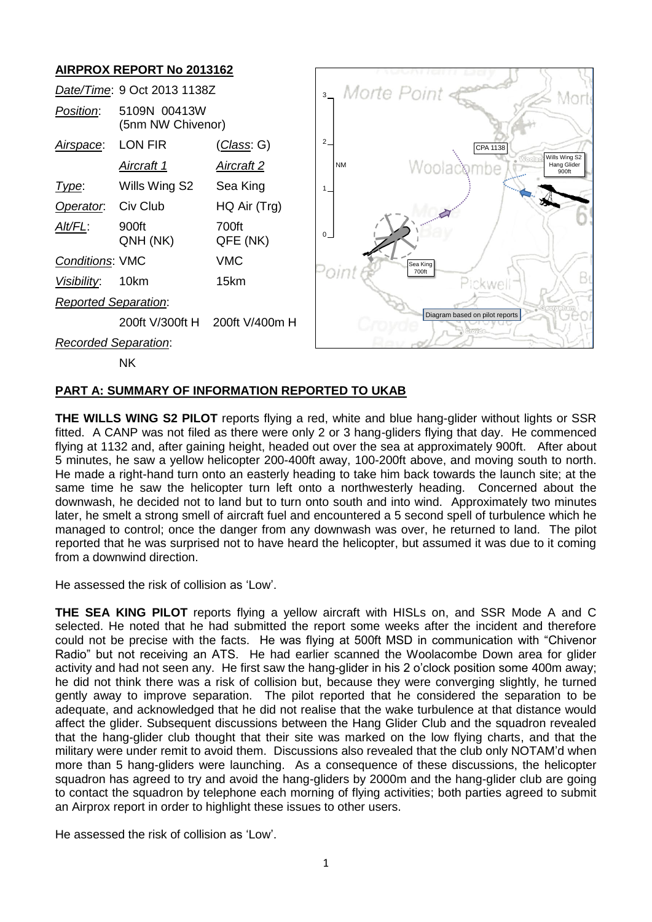# **AIRPROX REPORT No 2013162**



NK

### **PART A: SUMMARY OF INFORMATION REPORTED TO UKAB**

**THE WILLS WING S2 PILOT** reports flying a red, white and blue hang-glider without lights or SSR fitted. A CANP was not filed as there were only 2 or 3 hang-gliders flying that day. He commenced flying at 1132 and, after gaining height, headed out over the sea at approximately 900ft. After about 5 minutes, he saw a yellow helicopter 200-400ft away, 100-200ft above, and moving south to north. He made a right-hand turn onto an easterly heading to take him back towards the launch site; at the same time he saw the helicopter turn left onto a northwesterly heading. Concerned about the downwash, he decided not to land but to turn onto south and into wind. Approximately two minutes later, he smelt a strong smell of aircraft fuel and encountered a 5 second spell of turbulence which he managed to control; once the danger from any downwash was over, he returned to land. The pilot reported that he was surprised not to have heard the helicopter, but assumed it was due to it coming from a downwind direction.

He assessed the risk of collision as 'Low'.

**THE SEA KING PILOT** reports flying a yellow aircraft with HISLs on, and SSR Mode A and C selected. He noted that he had submitted the report some weeks after the incident and therefore could not be precise with the facts. He was flying at 500ft MSD in communication with "Chivenor Radio" but not receiving an ATS. He had earlier scanned the Woolacombe Down area for glider activity and had not seen any. He first saw the hang-glider in his 2 o'clock position some 400m away; he did not think there was a risk of collision but, because they were converging slightly, he turned gently away to improve separation. The pilot reported that he considered the separation to be adequate, and acknowledged that he did not realise that the wake turbulence at that distance would affect the glider. Subsequent discussions between the Hang Glider Club and the squadron revealed that the hang-glider club thought that their site was marked on the low flying charts, and that the military were under remit to avoid them. Discussions also revealed that the club only NOTAM'd when more than 5 hang-gliders were launching. As a consequence of these discussions, the helicopter squadron has agreed to try and avoid the hang-gliders by 2000m and the hang-glider club are going to contact the squadron by telephone each morning of flying activities; both parties agreed to submit an Airprox report in order to highlight these issues to other users.

He assessed the risk of collision as 'Low'.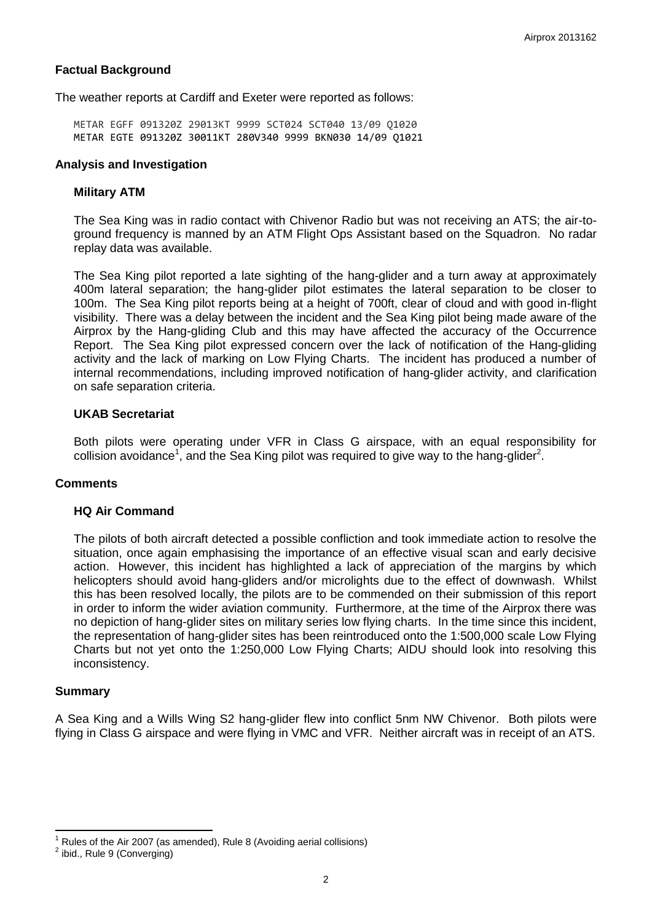## **Factual Background**

The weather reports at Cardiff and Exeter were reported as follows:

METAR EGFF 091320Z 29013KT 9999 SCT024 SCT040 13/09 Q1020 METAR EGTE 091320Z 30011KT 280V340 9999 BKN030 14/09 Q1021

### **Analysis and Investigation**

#### **Military ATM**

The Sea King was in radio contact with Chivenor Radio but was not receiving an ATS; the air-toground frequency is manned by an ATM Flight Ops Assistant based on the Squadron. No radar replay data was available.

The Sea King pilot reported a late sighting of the hang-glider and a turn away at approximately 400m lateral separation; the hang-glider pilot estimates the lateral separation to be closer to 100m. The Sea King pilot reports being at a height of 700ft, clear of cloud and with good in-flight visibility. There was a delay between the incident and the Sea King pilot being made aware of the Airprox by the Hang-gliding Club and this may have affected the accuracy of the Occurrence Report. The Sea King pilot expressed concern over the lack of notification of the Hang-gliding activity and the lack of marking on Low Flying Charts. The incident has produced a number of internal recommendations, including improved notification of hang-glider activity, and clarification on safe separation criteria.

### **UKAB Secretariat**

Both pilots were operating under VFR in Class G airspace, with an equal responsibility for collision avoidance<sup>1</sup>, and the Sea King pilot was required to give way to the hang-glider<sup>2</sup>.

#### **Comments**

#### **HQ Air Command**

The pilots of both aircraft detected a possible confliction and took immediate action to resolve the situation, once again emphasising the importance of an effective visual scan and early decisive action. However, this incident has highlighted a lack of appreciation of the margins by which helicopters should avoid hang-gliders and/or microlights due to the effect of downwash. Whilst this has been resolved locally, the pilots are to be commended on their submission of this report in order to inform the wider aviation community. Furthermore, at the time of the Airprox there was no depiction of hang-glider sites on military series low flying charts. In the time since this incident, the representation of hang-glider sites has been reintroduced onto the 1:500,000 scale Low Flying Charts but not yet onto the 1:250,000 Low Flying Charts; AIDU should look into resolving this inconsistency.

#### **Summary**

 $\overline{\phantom{a}}$ 

A Sea King and a Wills Wing S2 hang-glider flew into conflict 5nm NW Chivenor. Both pilots were flying in Class G airspace and were flying in VMC and VFR. Neither aircraft was in receipt of an ATS.

<sup>1</sup> Rules of the Air 2007 (as amended), Rule 8 (Avoiding aerial collisions)

 $2$  ibid., Rule 9 (Converging)